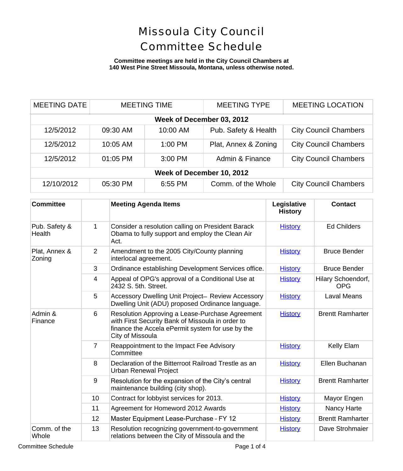#### **Committee meetings are held in the City Council Chambers at 140 West Pine Street Missoula, Montana, unless otherwise noted.**

| <b>MEETING DATE</b>       | <b>MEETING TIME</b> |           | <b>MEETING TYPE</b>  | <b>MEETING LOCATION</b>      |  |
|---------------------------|---------------------|-----------|----------------------|------------------------------|--|
| Week of December 03, 2012 |                     |           |                      |                              |  |
| 12/5/2012                 | 09:30 AM            | 10:00 AM  | Pub. Safety & Health | <b>City Council Chambers</b> |  |
| 12/5/2012                 | 10:05 AM            | $1:00$ PM | Plat, Annex & Zoning | <b>City Council Chambers</b> |  |
| 12/5/2012                 | 01:05 PM            | 3:00 PM   | Admin & Finance      | <b>City Council Chambers</b> |  |
| Week of December 10, 2012 |                     |           |                      |                              |  |
| 12/10/2012                | 05:30 PM            | 6:55 PM   | Comm. of the Whole   | <b>City Council Chambers</b> |  |

| <b>Committee</b>        |                | <b>Meeting Agenda Items</b>                                                                                                                                                 | Legislative<br><b>History</b> | <b>Contact</b>                        |
|-------------------------|----------------|-----------------------------------------------------------------------------------------------------------------------------------------------------------------------------|-------------------------------|---------------------------------------|
| Pub. Safety &<br>Health | 1              | Consider a resolution calling on President Barack<br>Obama to fully support and employ the Clean Air<br>Act.                                                                | <b>History</b>                | <b>Ed Childers</b>                    |
| Plat, Annex &<br>Zoning | $\overline{2}$ | Amendment to the 2005 City/County planning<br>interlocal agreement.                                                                                                         | <b>History</b>                | <b>Bruce Bender</b>                   |
|                         | 3              | Ordinance establishing Development Services office.                                                                                                                         | <b>History</b>                | <b>Bruce Bender</b>                   |
|                         | 4              | Appeal of OPG's approval of a Conditional Use at<br>2432 S. 5th. Street.                                                                                                    | <b>History</b>                | <b>Hilary Schoendol</b><br><b>OPG</b> |
|                         | 5              | Accessory Dwelling Unit Project- Review Accessory<br>Dwelling Unit (ADU) proposed Ordinance language.                                                                       | <b>History</b>                | <b>Laval Means</b>                    |
| Admin &<br>Finance      | 6              | Resolution Approving a Lease-Purchase Agreement<br>with First Security Bank of Missoula in order to<br>finance the Accela ePermit system for use by the<br>City of Missoula | <b>History</b>                | <b>Brentt Ramharte</b>                |
|                         | $\overline{7}$ | Reappointment to the Impact Fee Advisory<br>Committee                                                                                                                       | <b>History</b>                | Kelly Elam                            |
|                         | 8              | Declaration of the Bitterroot Railroad Trestle as an<br><b>Urban Renewal Project</b>                                                                                        | <b>History</b>                | Ellen Buchanar                        |
|                         | 9              | Resolution for the expansion of the City's central<br>maintenance building (city shop).                                                                                     | <b>History</b>                | <b>Brentt Ramharte</b>                |
|                         | 10             | Contract for lobbyist services for 2013.                                                                                                                                    | <b>History</b>                | Mayor Engen                           |
|                         | 11             | Agreement for Homeword 2012 Awards                                                                                                                                          | <b>History</b>                | Nancy Harte                           |
|                         | 12             | Master Equipment Lease-Purchase - FY 12                                                                                                                                     | <b>History</b>                | <b>Brentt Ramharte</b>                |
| Comm. of the<br>Whole   | 13             | Resolution recognizing government-to-government<br>relations between the City of Missoula and the                                                                           | <b>History</b>                | Dave Strohmaie                        |

Committee Schedule **Page 1 of 4**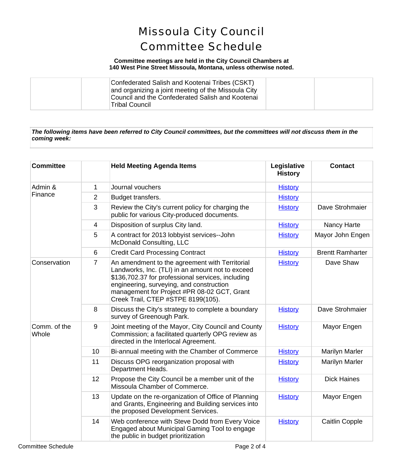### **Committee meetings are held in the City Council Chambers at 140 West Pine Street Missoula, Montana, unless otherwise noted.**

| Confederated Salish and Kootenai Tribes (CSKT)<br>and organizing a joint meeting of the Missoula City<br>Council and the Confederated Salish and Kootenai<br>Tribal Council |  |  |
|-----------------------------------------------------------------------------------------------------------------------------------------------------------------------------|--|--|
|-----------------------------------------------------------------------------------------------------------------------------------------------------------------------------|--|--|

### *The following items have been referred to City Council committees, but the committees will not discuss them in the coming week:*

| <b>Committee</b>      |                | <b>Held Meeting Agenda Items</b>                                                                                                                                                                                                                                                         | Legislative<br><b>History</b> | <b>Contact</b>         |
|-----------------------|----------------|------------------------------------------------------------------------------------------------------------------------------------------------------------------------------------------------------------------------------------------------------------------------------------------|-------------------------------|------------------------|
| Admin &<br>Finance    | 1              | Journal vouchers                                                                                                                                                                                                                                                                         | <b>History</b>                |                        |
|                       | 2              | Budget transfers.                                                                                                                                                                                                                                                                        | <b>History</b>                |                        |
|                       | 3              | Review the City's current policy for charging the<br>public for various City-produced documents.                                                                                                                                                                                         | <b>History</b>                | Dave Strohmaie         |
|                       | $\overline{4}$ | Disposition of surplus City land.                                                                                                                                                                                                                                                        | <b>History</b>                | Nancy Harte            |
|                       | 5              | A contract for 2013 lobbyist services--John<br><b>McDonald Consulting, LLC</b>                                                                                                                                                                                                           | <b>History</b>                | Mayor John Enge        |
|                       | 6              | <b>Credit Card Processing Contract</b>                                                                                                                                                                                                                                                   | <b>History</b>                | <b>Brentt Ramharte</b> |
| Conservation          | $\overline{7}$ | An amendment to the agreement with Territorial<br>Landworks, Inc. (TLI) in an amount not to exceed<br>\$136,702.37 for professional services, including<br>engineering, surveying, and construction<br>management for Project #PR 08-02 GCT, Grant<br>Creek Trail, CTEP #STPE 8199(105). | <b>History</b>                | Dave Shaw              |
|                       | 8              | Discuss the City's strategy to complete a boundary<br>survey of Greenough Park.                                                                                                                                                                                                          | <b>History</b>                | Dave Strohmaie         |
| Comm. of the<br>Whole | 9              | Joint meeting of the Mayor, City Council and County<br>Commission; a facilitated quarterly OPG review as<br>directed in the Interlocal Agreement.                                                                                                                                        | <b>History</b>                | Mayor Engen            |
|                       | 10             | Bi-annual meeting with the Chamber of Commerce                                                                                                                                                                                                                                           | <b>History</b>                | Marilyn Marler         |
|                       | 11             | Discuss OPG reorganization proposal with<br>Department Heads.                                                                                                                                                                                                                            | <b>History</b>                | <b>Marilyn Marler</b>  |
|                       | 12             | Propose the City Council be a member unit of the<br>Missoula Chamber of Commerce.                                                                                                                                                                                                        | <b>History</b>                | <b>Dick Haines</b>     |
|                       | 13             | Update on the re-organization of Office of Planning<br>and Grants, Engineering and Building services into<br>the proposed Development Services.                                                                                                                                          | <b>History</b>                | Mayor Engen            |
|                       | 14             | Web conference with Steve Dodd from Every Voice<br>Engaged about Municipal Gaming Tool to engage<br>the public in budget prioritization                                                                                                                                                  | <b>History</b>                | <b>Caitlin Copple</b>  |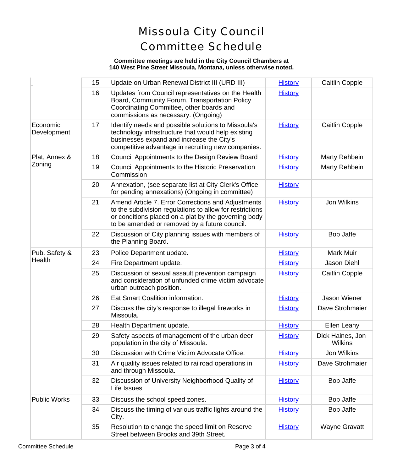#### **Committee meetings are held in the City Council Chambers at 140 West Pine Street Missoula, Montana, unless otherwise noted.**

|                         | 15 | Update on Urban Renewal District III (URD III)                                                                                                                                                                          | <b>History</b> | <b>Caitlin Copple</b>       |
|-------------------------|----|-------------------------------------------------------------------------------------------------------------------------------------------------------------------------------------------------------------------------|----------------|-----------------------------|
|                         | 16 | Updates from Council representatives on the Health<br>Board, Community Forum, Transportation Policy<br>Coordinating Committee, other boards and<br>commissions as necessary. (Ongoing)                                  | <b>History</b> |                             |
| Economic<br>Development | 17 | Identify needs and possible solutions to Missoula's<br>technology infrastructure that would help existing<br>businesses expand and increase the City's<br>competitive advantage in recruiting new companies.            | <b>History</b> | Caitlin Copple              |
| Plat, Annex &<br>Zoning | 18 | Council Appointments to the Design Review Board                                                                                                                                                                         | <b>History</b> | Marty Rehbein               |
|                         | 19 | Council Appointments to the Historic Preservation<br>Commission                                                                                                                                                         | <b>History</b> | Marty Rehbein               |
|                         | 20 | Annexation, (see separate list at City Clerk's Office<br>for pending annexations) (Ongoing in committee)                                                                                                                | <b>History</b> |                             |
|                         | 21 | Amend Article 7. Error Corrections and Adjustments<br>to the subdivision regulations to allow for restrictions<br>or conditions placed on a plat by the governing body<br>to be amended or removed by a future council. | <b>History</b> | Jon Wilkins                 |
|                         | 22 | Discussion of City planning issues with members of<br>the Planning Board.                                                                                                                                               | <b>History</b> | <b>Bob Jaffe</b>            |
| Pub. Safety &           | 23 | Police Department update.                                                                                                                                                                                               | <b>History</b> | Mark Muir                   |
| Health                  | 24 | Fire Department update.                                                                                                                                                                                                 | <b>History</b> | Jason Diehl                 |
|                         | 25 | Discussion of sexual assault prevention campaign<br>and consideration of unfunded crime victim advocate<br>urban outreach position.                                                                                     | <b>History</b> | <b>Caitlin Copple</b>       |
|                         | 26 | Eat Smart Coalition information.                                                                                                                                                                                        | <b>History</b> | Jason Wiener                |
|                         | 27 | Discuss the city's response to illegal fireworks in<br>Missoula.                                                                                                                                                        | <b>History</b> | Dave Strohmaie              |
|                         | 28 | Health Department update.                                                                                                                                                                                               | <b>History</b> | Ellen Leahy                 |
|                         | 29 | Safety aspects of management of the urban deer<br>population in the city of Missoula.                                                                                                                                   | <b>History</b> | Dick Haines, Jor<br>Wilkins |
|                         | 30 | Discussion with Crime Victim Advocate Office.                                                                                                                                                                           | <b>History</b> | Jon Wilkins                 |
|                         | 31 | Air quality issues related to railroad operations in<br>and through Missoula.                                                                                                                                           | <b>History</b> | Dave Strohmaie              |
|                         | 32 | Discussion of University Neighborhood Quality of<br>Life Issues                                                                                                                                                         | <b>History</b> | <b>Bob Jaffe</b>            |
| <b>Public Works</b>     | 33 | Discuss the school speed zones.                                                                                                                                                                                         | <b>History</b> | <b>Bob Jaffe</b>            |
|                         | 34 | Discuss the timing of various traffic lights around the<br>City.                                                                                                                                                        | <b>History</b> | <b>Bob Jaffe</b>            |
|                         | 35 | Resolution to change the speed limit on Reserve<br>Street between Brooks and 39th Street.                                                                                                                               | <b>History</b> | Wayne Gravatt               |